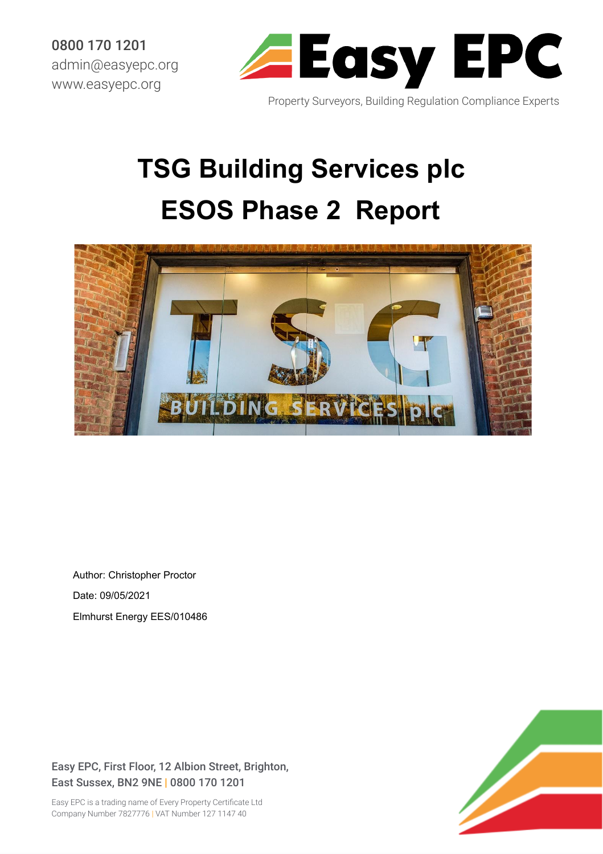0800 170 1201 admin@easyepc.org www.easyepc.org



Property Surveyors, Building Regulation Compliance Experts

## **TSG Building Services plc ESOS Phase 2 Report**



Author: Christopher Proctor Date: 09/05/2021 Elmhurst Energy EES/010486

Easy EPC, First Floor, 12 Albion Street, Brighton, East Sussex, BN2 9NE | 0800 170 1201

Easy EPC is a trading name of Every Property Certificate Ltd Company Number 7827776 | VAT Number 127 1147 40

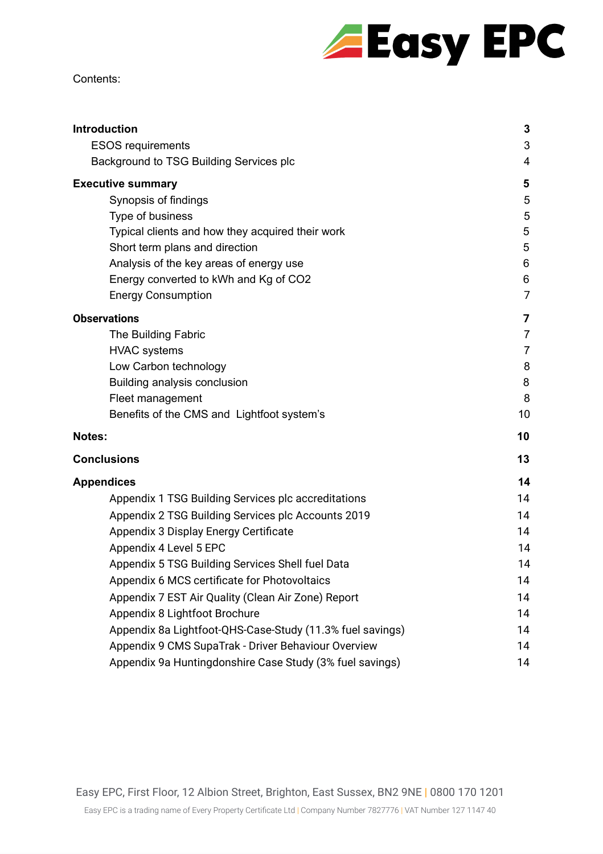# **Easy EPC**

#### Contents:

| <b>Introduction</b>                                       | 3              |
|-----------------------------------------------------------|----------------|
| <b>ESOS requirements</b>                                  | 3              |
| Background to TSG Building Services plc                   | 4              |
| <b>Executive summary</b>                                  | 5              |
| Synopsis of findings                                      | 5              |
| Type of business                                          | 5              |
| Typical clients and how they acquired their work          | 5              |
| Short term plans and direction                            | 5              |
| Analysis of the key areas of energy use                   | $\,6$          |
| Energy converted to kWh and Kg of CO2                     | $\,6$          |
| <b>Energy Consumption</b>                                 | 7              |
| <b>Observations</b>                                       | 7              |
| The Building Fabric                                       | $\overline{7}$ |
| <b>HVAC</b> systems                                       | $\overline{7}$ |
| Low Carbon technology                                     | 8              |
| Building analysis conclusion                              | 8              |
| Fleet management                                          | 8              |
| Benefits of the CMS and Lightfoot system's                | 10             |
| Notes:                                                    | 10             |
| <b>Conclusions</b>                                        | 13             |
| <b>Appendices</b>                                         | 14             |
| Appendix 1 TSG Building Services plc accreditations       | 14             |
| Appendix 2 TSG Building Services plc Accounts 2019        | 14             |
| Appendix 3 Display Energy Certificate                     | 14             |
| Appendix 4 Level 5 EPC                                    | 14             |
| Appendix 5 TSG Building Services Shell fuel Data          | 14             |
| Appendix 6 MCS certificate for Photovoltaics              | 14             |
| Appendix 7 EST Air Quality (Clean Air Zone) Report        | 14             |
| Appendix 8 Lightfoot Brochure                             | 14             |
| Appendix 8a Lightfoot-QHS-Case-Study (11.3% fuel savings) | 14             |
| Appendix 9 CMS SupaTrak - Driver Behaviour Overview       | 14             |
| Appendix 9a Huntingdonshire Case Study (3% fuel savings)  | 14             |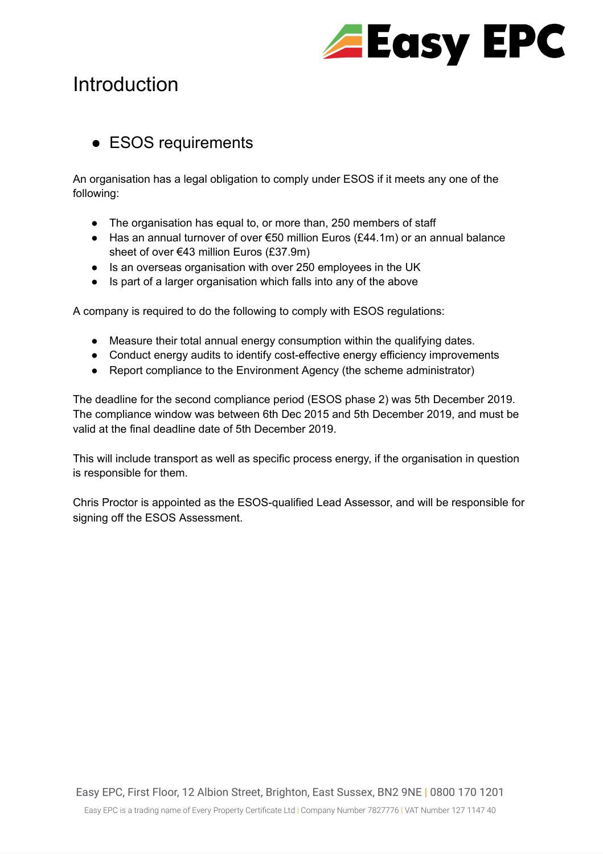

## <span id="page-2-0"></span>**Introduction**

#### <span id="page-2-1"></span>• ESOS requirements

An organisation has a legal obligation to comply under ESOS if it meets any one of the following:

- The organisation has equal to, or more than, 250 members of staff
- Has an annual turnover of over €50 million Euros (£44.1m) or an annual balance sheet of over €43 million Euros (£37.9m)
- Is an overseas organisation with over 250 employees in the UK
- Is part of a larger organisation which falls into any of the above

A company is required to do the following to comply with ESOS regulations:

- Measure their total annual energy consumption within the qualifying dates.
- Conduct energy audits to identify cost-effective energy efficiency improvements
- Report compliance to the Environment Agency (the scheme administrator)

The deadline for the second compliance period (ESOS phase 2) was 5th December 2019. The compliance window was between 6th Dec 2015 and 5th December 2019, and must be valid at the final deadline date of 5th December 2019.

This will include transport as well as specific process energy, if the organisation in question is responsible for them.

Chris Proctor is appointed as the ESOS-qualified Lead Assessor, and will be responsible for signing off the ESOS Assessment.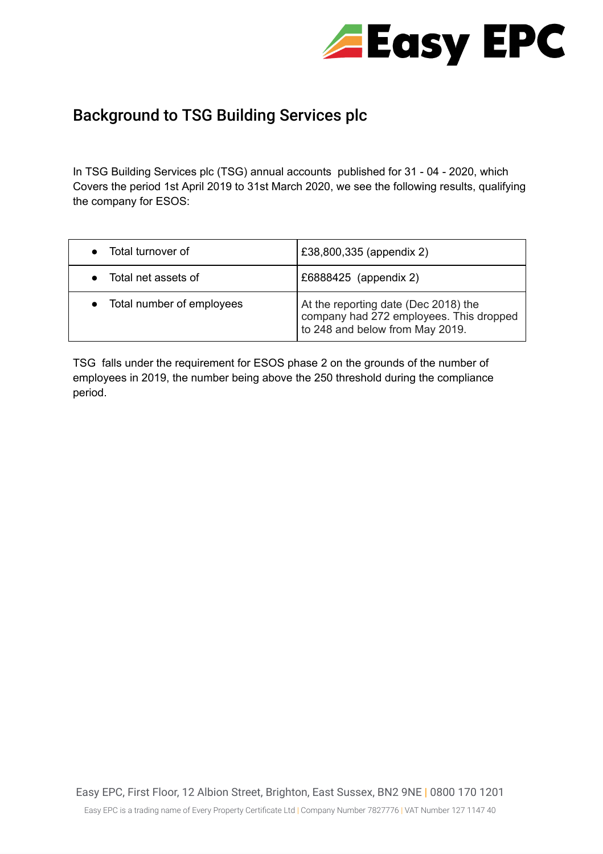

### <span id="page-3-0"></span>Background to TSG Building Services plc

In TSG Building Services plc (TSG) annual accounts published for 31 - 04 - 2020, which Covers the period 1st April 2019 to 31st March 2020, we see the following results, qualifying the company for ESOS:

| Total turnover of           | £38,800,335 (appendix 2)                                                                                           |
|-----------------------------|--------------------------------------------------------------------------------------------------------------------|
| Total net assets of         | £6888425 (appendix 2)                                                                                              |
| • Total number of employees | At the reporting date (Dec 2018) the<br>company had 272 employees. This dropped<br>to 248 and below from May 2019. |

TSG falls under the requirement for ESOS phase 2 on the grounds of the number of employees in 2019, the number being above the 250 threshold during the compliance period.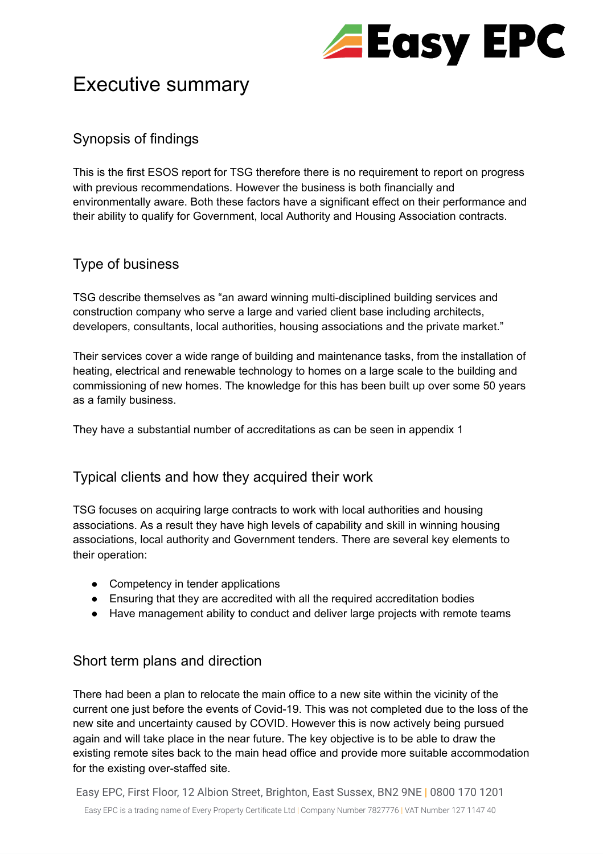

## <span id="page-4-0"></span>Executive summary

#### <span id="page-4-1"></span>Synopsis of findings

This is the first ESOS report for TSG therefore there is no requirement to report on progress with previous recommendations. However the business is both financially and environmentally aware. Both these factors have a significant effect on their performance and their ability to qualify for Government, local Authority and Housing Association contracts.

#### <span id="page-4-2"></span>Type of business

TSG describe themselves as "an award winning multi-disciplined building services and construction company who serve a large and varied client base including architects, developers, consultants, local authorities, housing associations and the private market."

Their services cover a wide range of building and maintenance tasks, from the installation of heating, electrical and renewable technology to homes on a large scale to the building and commissioning of new homes. The knowledge for this has been built up over some 50 years as a family business.

They have a substantial number of accreditations as can be seen in appendix 1

#### <span id="page-4-3"></span>Typical clients and how they acquired their work

TSG focuses on acquiring large contracts to work with local authorities and housing associations. As a result they have high levels of capability and skill in winning housing associations, local authority and Government tenders. There are several key elements to their operation:

- Competency in tender applications
- Ensuring that they are accredited with all the required accreditation bodies
- Have management ability to conduct and deliver large projects with remote teams

#### <span id="page-4-4"></span>Short term plans and direction

There had been a plan to relocate the main office to a new site within the vicinity of the current one just before the events of Covid-19. This was not completed due to the loss of the new site and uncertainty caused by COVID. However this is now actively being pursued again and will take place in the near future. The key objective is to be able to draw the existing remote sites back to the main head office and provide more suitable accommodation for the existing over-staffed site.

Easy EPC, First Floor, 12 Albion Street, Brighton, East Sussex, BN2 9NE | 0800 170 1201 Easy EPC is a trading name of Every Property Certificate Ltd | Company Number 7827776 | VAT Number 127 1147 40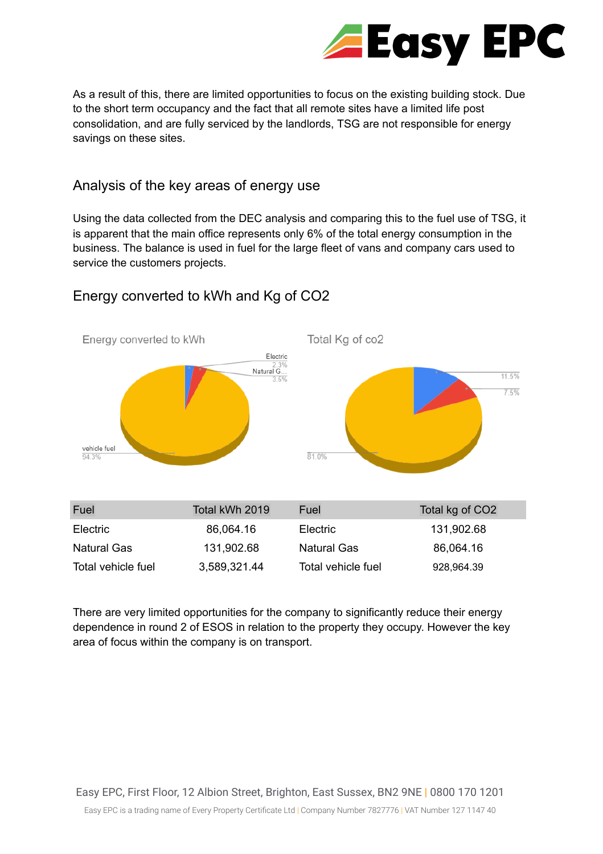

As a result of this, there are limited opportunities to focus on the existing building stock. Due to the short term occupancy and the fact that all remote sites have a limited life post consolidation, and are fully serviced by the landlords, TSG are not responsible for energy savings on these sites.

#### <span id="page-5-0"></span>Analysis of the key areas of energy use

Using the data collected from the DEC analysis and comparing this to the fuel use of TSG, it is apparent that the main office represents only 6% of the total energy consumption in the business. The balance is used in fuel for the large fleet of vans and company cars used to service the customers projects.



#### <span id="page-5-1"></span>Energy converted to kWh and Kg of CO2

There are very limited opportunities for the company to significantly reduce their energy dependence in round 2 of ESOS in relation to the property they occupy. However the key area of focus within the company is on transport.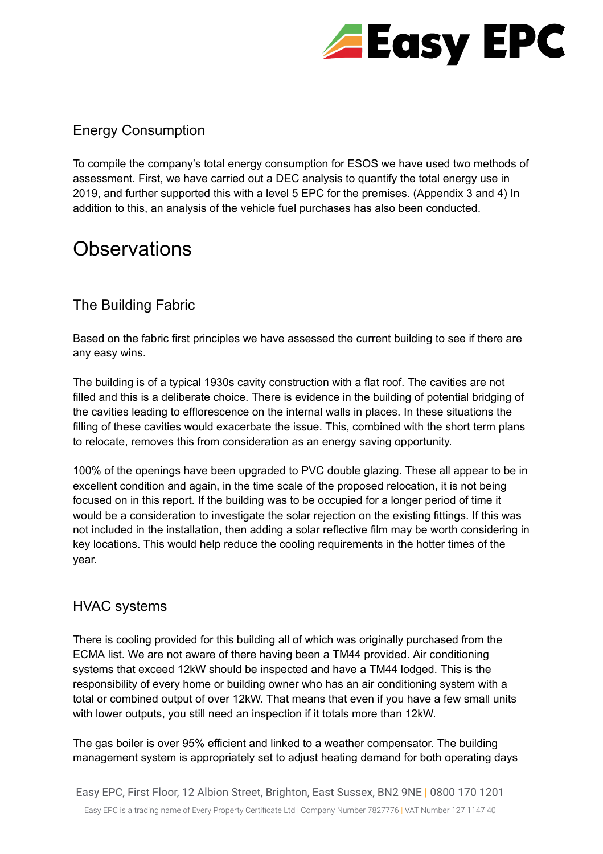

#### <span id="page-6-0"></span>Energy Consumption

To compile the company's total energy consumption for ESOS we have used two methods of assessment. First, we have carried out a DEC analysis to quantify the total energy use in 2019, and further supported this with a level 5 EPC for the premises. (Appendix 3 and 4) In addition to this, an analysis of the vehicle fuel purchases has also been conducted.

## <span id="page-6-1"></span>**Observations**

#### <span id="page-6-2"></span>The Building Fabric

Based on the fabric first principles we have assessed the current building to see if there are any easy wins.

The building is of a typical 1930s cavity construction with a flat roof. The cavities are not filled and this is a deliberate choice. There is evidence in the building of potential bridging of the cavities leading to efflorescence on the internal walls in places. In these situations the filling of these cavities would exacerbate the issue. This, combined with the short term plans to relocate, removes this from consideration as an energy saving opportunity.

100% of the openings have been upgraded to PVC double glazing. These all appear to be in excellent condition and again, in the time scale of the proposed relocation, it is not being focused on in this report. If the building was to be occupied for a longer period of time it would be a consideration to investigate the solar rejection on the existing fittings. If this was not included in the installation, then adding a solar reflective film may be worth considering in key locations. This would help reduce the cooling requirements in the hotter times of the year.

#### <span id="page-6-3"></span>HVAC systems

There is cooling provided for this building all of which was originally purchased from the ECMA list. We are not aware of there having been a TM44 provided. Air conditioning systems that exceed 12kW should be inspected and have a TM44 lodged. This is the responsibility of every home or building owner who has an air conditioning system with a total or combined output of over 12kW. That means that even if you have a few small units with lower outputs, you still need an inspection if it totals more than 12kW.

The gas boiler is over 95% efficient and linked to a weather compensator. The building management system is appropriately set to adjust heating demand for both operating days

Easy EPC, First Floor, 12 Albion Street, Brighton, East Sussex, BN2 9NE | 0800 170 1201 Easy EPC is a trading name of Every Property Certificate Ltd | Company Number 7827776 | VAT Number 127 1147 40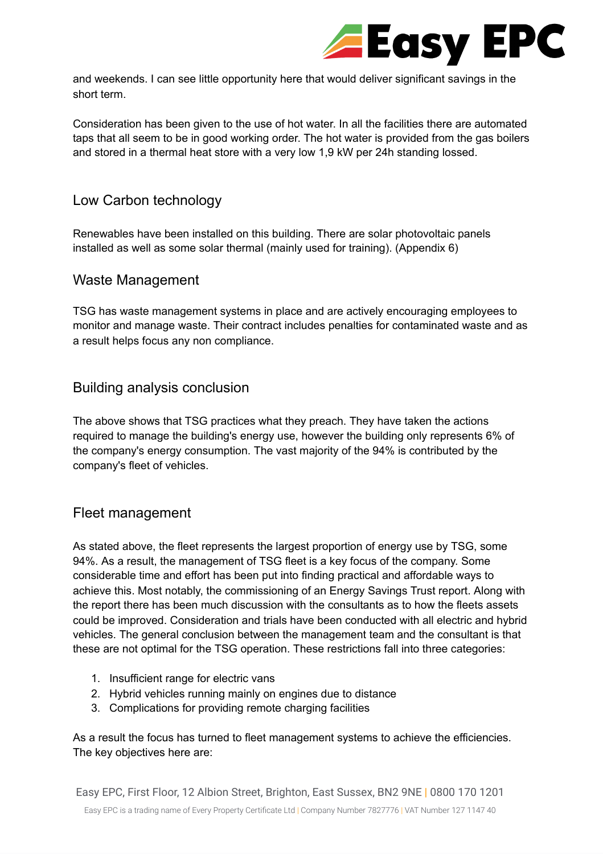

and weekends. I can see little opportunity here that would deliver significant savings in the short term.

Consideration has been given to the use of hot water. In all the facilities there are automated taps that all seem to be in good working order. The hot water is provided from the gas boilers and stored in a thermal heat store with a very low 1,9 kW per 24h standing lossed.

#### <span id="page-7-0"></span>Low Carbon technology

Renewables have been installed on this building. There are solar photovoltaic panels installed as well as some solar thermal (mainly used for training). (Appendix 6)

#### Waste Management

TSG has waste management systems in place and are actively encouraging employees to monitor and manage waste. Their contract includes penalties for contaminated waste and as a result helps focus any non compliance.

#### <span id="page-7-1"></span>Building analysis conclusion

The above shows that TSG practices what they preach. They have taken the actions required to manage the building's energy use, however the building only represents 6% of the company's energy consumption. The vast majority of the 94% is contributed by the company's fleet of vehicles.

#### <span id="page-7-2"></span>Fleet management

As stated above, the fleet represents the largest proportion of energy use by TSG, some 94%. As a result, the management of TSG fleet is a key focus of the company. Some considerable time and effort has been put into finding practical and affordable ways to achieve this. Most notably, the commissioning of an Energy Savings Trust report. Along with the report there has been much discussion with the consultants as to how the fleets assets could be improved. Consideration and trials have been conducted with all electric and hybrid vehicles. The general conclusion between the management team and the consultant is that these are not optimal for the TSG operation. These restrictions fall into three categories:

- 1. Insufficient range for electric vans
- 2. Hybrid vehicles running mainly on engines due to distance
- 3. Complications for providing remote charging facilities

As a result the focus has turned to fleet management systems to achieve the efficiencies. The key objectives here are: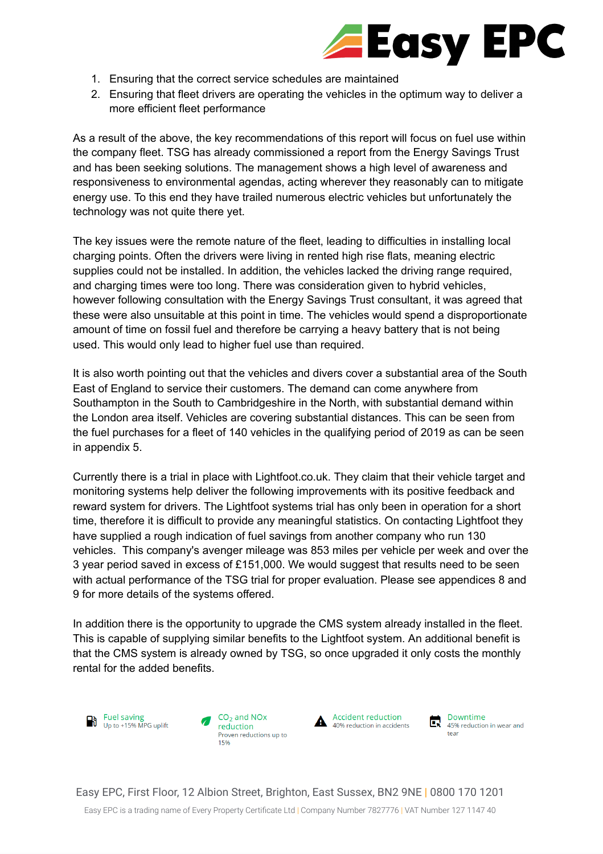

- 1. Ensuring that the correct service schedules are maintained
- 2. Ensuring that fleet drivers are operating the vehicles in the optimum way to deliver a more efficient fleet performance

As a result of the above, the key recommendations of this report will focus on fuel use within the company fleet. TSG has already commissioned a report from the Energy Savings Trust and has been seeking solutions. The management shows a high level of awareness and responsiveness to environmental agendas, acting wherever they reasonably can to mitigate energy use. To this end they have trailed numerous electric vehicles but unfortunately the technology was not quite there yet.

The key issues were the remote nature of the fleet, leading to difficulties in installing local charging points. Often the drivers were living in rented high rise flats, meaning electric supplies could not be installed. In addition, the vehicles lacked the driving range required, and charging times were too long. There was consideration given to hybrid vehicles, however following consultation with the Energy Savings Trust consultant, it was agreed that these were also unsuitable at this point in time. The vehicles would spend a disproportionate amount of time on fossil fuel and therefore be carrying a heavy battery that is not being used. This would only lead to higher fuel use than required.

It is also worth pointing out that the vehicles and divers cover a substantial area of the South East of England to service their customers. The demand can come anywhere from Southampton in the South to Cambridgeshire in the North, with substantial demand within the London area itself. Vehicles are covering substantial distances. This can be seen from the fuel purchases for a fleet of 140 vehicles in the qualifying period of 2019 as can be seen in appendix 5.

Currently there is a trial in place with Lightfoot.co.uk. They claim that their vehicle target and monitoring systems help deliver the following improvements with its positive feedback and reward system for drivers. The Lightfoot systems trial has only been in operation for a short time, therefore it is difficult to provide any meaningful statistics. On contacting Lightfoot they have supplied a rough indication of fuel savings from another company who run 130 vehicles. This company's avenger mileage was 853 miles per vehicle per week and over the 3 year period saved in excess of £151,000. We would suggest that results need to be seen with actual performance of the TSG trial for proper evaluation. Please see appendices 8 and 9 for more details of the systems offered.

In addition there is the opportunity to upgrade the CMS system already installed in the fleet. This is capable of supplying similar benefits to the Lightfoot system. An additional benefit is that the CMS system is already owned by TSG, so once upgraded it only costs the monthly rental for the added benefits.







Downtime<br>
45% reduction in wear and tear

Easy EPC, First Floor, 12 Albion Street, Brighton, East Sussex, BN2 9NE | 0800 170 1201

Easy EPC is a trading name of Every Property Certificate Ltd | Company Number 7827776 | VAT Number 127 1147 40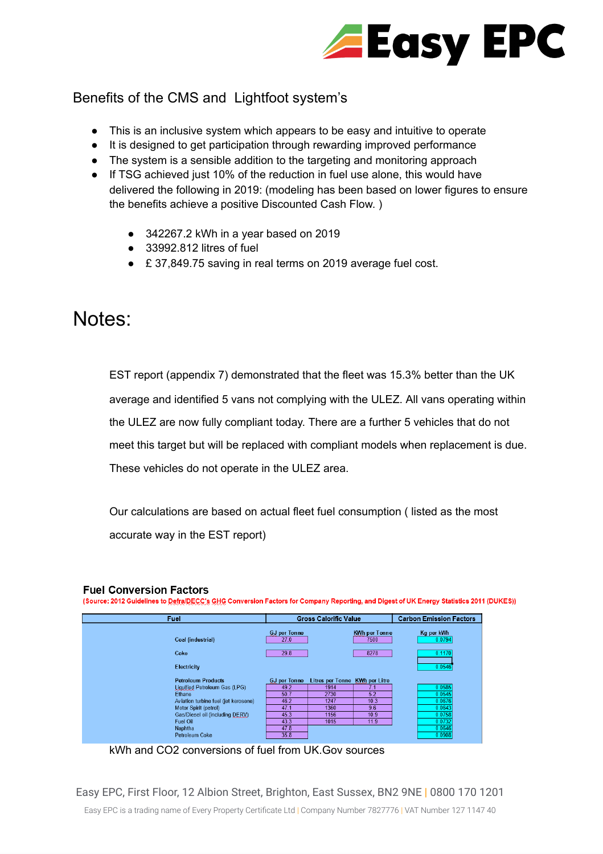

#### <span id="page-9-0"></span>Benefits of the CMS and Lightfoot system's

- This is an inclusive system which appears to be easy and intuitive to operate
- It is designed to get participation through rewarding improved performance
- The system is a sensible addition to the targeting and monitoring approach
- If TSG achieved just 10% of the reduction in fuel use alone, this would have delivered the following in 2019: (modeling has been based on lower figures to ensure the benefits achieve a positive Discounted Cash Flow. )
	- 342267.2 kWh in a year based on 2019
	- $\bullet$  33992.812 litres of fuel
	- £ 37,849.75 saving in real terms on 2019 average fuel cost.

### <span id="page-9-1"></span>Notes:

EST report (appendix 7) demonstrated that the fleet was 15.3% better than the UK average and identified 5 vans not complying with the ULEZ. All vans operating within the ULEZ are now fully compliant today. There are a further 5 vehicles that do not meet this target but will be replaced with compliant models when replacement is due. These vehicles do not operate in the ULEZ area.

Our calculations are based on actual fleet fuel consumption ( listed as the most accurate way in the EST report)

#### **Fuel Conversion Factors**

(Source: 2012 Guidelines to Defra/DECC's GHG Conversion Factors for Company Reporting, and Digest of UK Energy Statistics 2011 (DUKES))

| Fuel                                 |                             | <b>Gross Calorific Value</b>   |                              | <b>Carbon Emission Factors</b> |
|--------------------------------------|-----------------------------|--------------------------------|------------------------------|--------------------------------|
| Coal (industrial)                    | <b>GJ</b> per Tonne<br>27.0 |                                | <b>KWh per Tonne</b><br>7500 | Kg per kWh<br>0.0794           |
| Coke                                 | 29.8                        |                                | 8278                         | 0.1170                         |
| <b>Electricity</b>                   |                             |                                |                              | 0.0546                         |
| <b>Petroleum Products</b>            | <b>GJ</b> per Tonne         | Litres per Tonne KWh per Litre |                              |                                |
| Liquified Petroleum Gas (LPG)        | 49.2                        | 1914                           | 7.1                          | 0.0585                         |
| Ethane                               | 50.7                        | 2730                           | 5.2                          | 0.0545                         |
| Aviation turbine fuel (jet kerosene) | 46.2                        | 1247                           | 10.3                         | 0.0676                         |
| Motor Spirit (petrol)                | 47.1                        | 1360                           | 9.6                          | 0.0643                         |
| Gas/Diesel oil (including DERV)      | 45.3                        | 1156                           | 10.9                         | 0.0758                         |
| Fuel Oil                             | 43.3                        | 1015                           | 11.9                         | 0.0732                         |
| Naphtha                              | 47.8                        |                                |                              | 0.0646                         |
| Petroleum Coke                       | 35.8                        |                                |                              | 0.0908                         |

kWh and CO2 conversions of fuel from UK.Gov sources

Easy EPC, First Floor, 12 Albion Street, Brighton, East Sussex, BN2 9NE | 0800 170 1201

Easy EPC is a trading name of Every Property Certificate Ltd | Company Number 7827776 | VAT Number 127 1147 40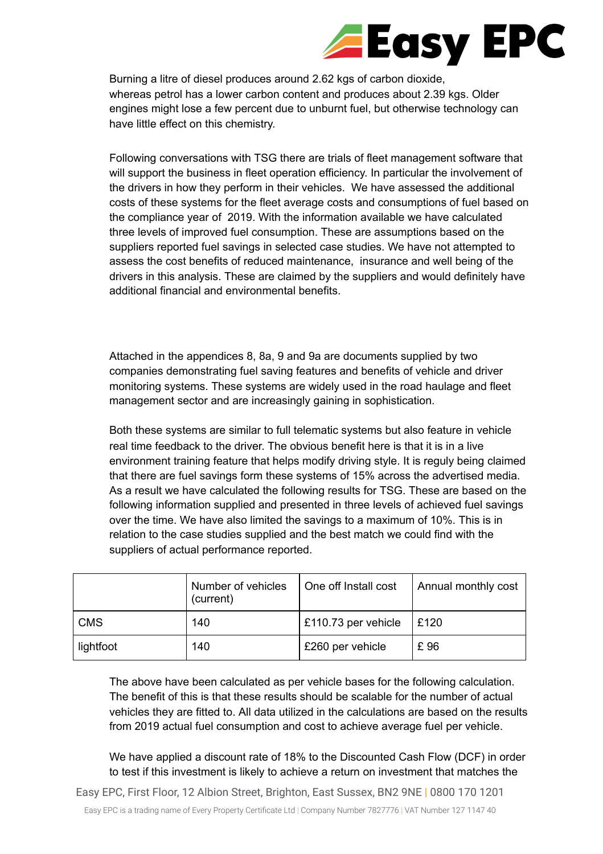## **Easy EPC**

Burning a litre of diesel produces around 2.62 kgs of carbon dioxide, whereas petrol has a lower carbon content and produces about 2.39 kgs. Older engines might lose a few percent due to unburnt fuel, but otherwise technology can have little effect on this chemistry.

Following conversations with TSG there are trials of fleet management software that will support the business in fleet operation efficiency. In particular the involvement of the drivers in how they perform in their vehicles. We have assessed the additional costs of these systems for the fleet average costs and consumptions of fuel based on the compliance year of 2019. With the information available we have calculated three levels of improved fuel consumption. These are assumptions based on the suppliers reported fuel savings in selected case studies. We have not attempted to assess the cost benefits of reduced maintenance, insurance and well being of the drivers in this analysis. These are claimed by the suppliers and would definitely have additional financial and environmental benefits.

Attached in the appendices 8, 8a, 9 and 9a are documents supplied by two companies demonstrating fuel saving features and benefits of vehicle and driver monitoring systems. These systems are widely used in the road haulage and fleet management sector and are increasingly gaining in sophistication.

Both these systems are similar to full telematic systems but also feature in vehicle real time feedback to the driver. The obvious benefit here is that it is in a live environment training feature that helps modify driving style. It is reguly being claimed that there are fuel savings form these systems of 15% across the advertised media. As a result we have calculated the following results for TSG. These are based on the following information supplied and presented in three levels of achieved fuel savings over the time. We have also limited the savings to a maximum of 10%. This is in relation to the case studies supplied and the best match we could find with the suppliers of actual performance reported.

|            | Number of vehicles<br>(current) | One off Install cost | Annual monthly cost |
|------------|---------------------------------|----------------------|---------------------|
| <b>CMS</b> | 140                             | £110.73 per vehicle  | £120                |
| lightfoot  | 140                             | £260 per vehicle     | £96                 |

The above have been calculated as per vehicle bases for the following calculation. The benefit of this is that these results should be scalable for the number of actual vehicles they are fitted to. All data utilized in the calculations are based on the results from 2019 actual fuel consumption and cost to achieve average fuel per vehicle.

We have applied a discount rate of 18% to the Discounted Cash Flow (DCF) in order to test if this investment is likely to achieve a return on investment that matches the

Easy EPC, First Floor, 12 Albion Street, Brighton, East Sussex, BN2 9NE | 0800 170 1201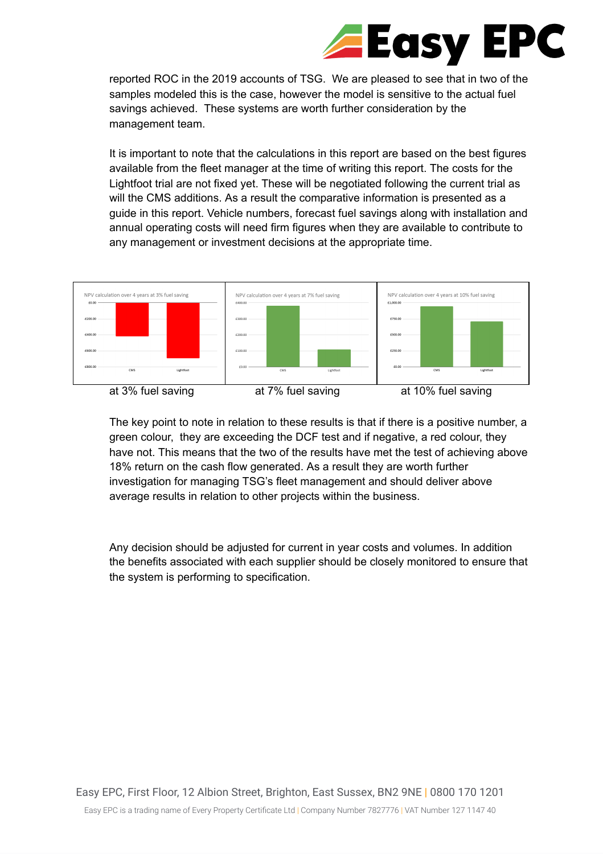## **Easy EPC**  $\sqrt{2}$

reported ROC in the 2019 accounts of TSG. We are pleased to see that in two of the samples modeled this is the case, however the model is sensitive to the actual fuel savings achieved. These systems are worth further consideration by the management team.

It is important to note that the calculations in this report are based on the best figures available from the fleet manager at the time of writing this report. The costs for the Lightfoot trial are not fixed yet. These will be negotiated following the current trial as will the CMS additions. As a result the comparative information is presented as a guide in this report. Vehicle numbers, forecast fuel savings along with installation and annual operating costs will need firm figures when they are available to contribute to any management or investment decisions at the appropriate time.



The key point to note in relation to these results is that if there is a positive number, a green colour, they are exceeding the DCF test and if negative, a red colour, they have not. This means that the two of the results have met the test of achieving above 18% return on the cash flow generated. As a result they are worth further investigation for managing TSG's fleet management and should deliver above average results in relation to other projects within the business.

Any decision should be adjusted for current in year costs and volumes. In addition the benefits associated with each supplier should be closely monitored to ensure that the system is performing to specification.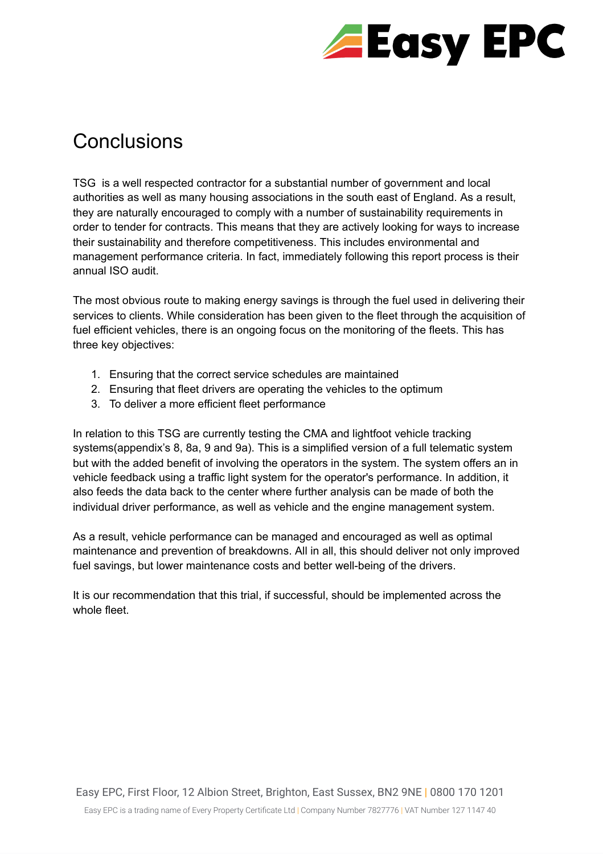

## <span id="page-12-0"></span>Conclusions

TSG is a well respected contractor for a substantial number of government and local authorities as well as many housing associations in the south east of England. As a result, they are naturally encouraged to comply with a number of sustainability requirements in order to tender for contracts. This means that they are actively looking for ways to increase their sustainability and therefore competitiveness. This includes environmental and management performance criteria. In fact, immediately following this report process is their annual ISO audit.

The most obvious route to making energy savings is through the fuel used in delivering their services to clients. While consideration has been given to the fleet through the acquisition of fuel efficient vehicles, there is an ongoing focus on the monitoring of the fleets. This has three key objectives:

- 1. Ensuring that the correct service schedules are maintained
- 2. Ensuring that fleet drivers are operating the vehicles to the optimum
- 3. To deliver a more efficient fleet performance

In relation to this TSG are currently testing the CMA and lightfoot vehicle tracking systems(appendix's 8, 8a, 9 and 9a). This is a simplified version of a full telematic system but with the added benefit of involving the operators in the system. The system offers an in vehicle feedback using a traffic light system for the operator's performance. In addition, it also feeds the data back to the center where further analysis can be made of both the individual driver performance, as well as vehicle and the engine management system.

As a result, vehicle performance can be managed and encouraged as well as optimal maintenance and prevention of breakdowns. All in all, this should deliver not only improved fuel savings, but lower maintenance costs and better well-being of the drivers.

It is our recommendation that this trial, if successful, should be implemented across the whole fleet